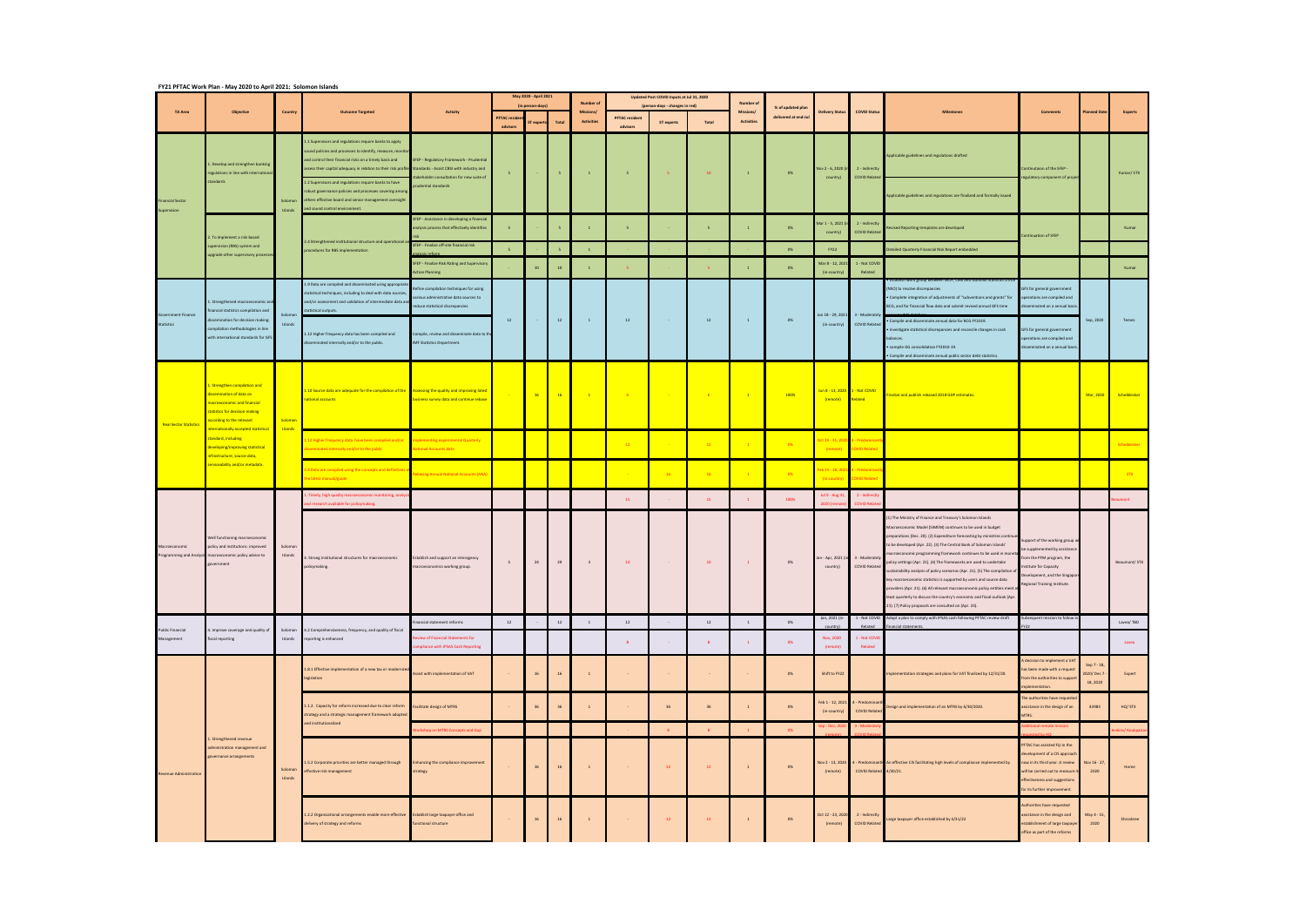|                                        | FY21 PFTAC Work Plan - May 2020 to April 2021: Solomon Islands                                                                                                                                                                                                                                                              |                    |                                                                                                                                                                                                                                                                                                                                                                                                                                                                                                           |                                                                                                                                                                                                         |                               |                  |                          |                         |                                   |                   |                                                                             |                                |                      |                                            |                                        |                                                                                                                                                                                                                                                                                                                                                                                                                                                                                                                                                                                                                                                                                                                                                                                                   |                                                                                                                                                                                                       |                                       |                        |
|----------------------------------------|-----------------------------------------------------------------------------------------------------------------------------------------------------------------------------------------------------------------------------------------------------------------------------------------------------------------------------|--------------------|-----------------------------------------------------------------------------------------------------------------------------------------------------------------------------------------------------------------------------------------------------------------------------------------------------------------------------------------------------------------------------------------------------------------------------------------------------------------------------------------------------------|---------------------------------------------------------------------------------------------------------------------------------------------------------------------------------------------------------|-------------------------------|------------------|--------------------------|-------------------------|-----------------------------------|-------------------|-----------------------------------------------------------------------------|--------------------------------|----------------------|--------------------------------------------|----------------------------------------|---------------------------------------------------------------------------------------------------------------------------------------------------------------------------------------------------------------------------------------------------------------------------------------------------------------------------------------------------------------------------------------------------------------------------------------------------------------------------------------------------------------------------------------------------------------------------------------------------------------------------------------------------------------------------------------------------------------------------------------------------------------------------------------------------|-------------------------------------------------------------------------------------------------------------------------------------------------------------------------------------------------------|---------------------------------------|------------------------|
| <b>TA Area</b>                         | <b>Objective</b>                                                                                                                                                                                                                                                                                                            | Country            | <b>Outcome Targeted</b>                                                                                                                                                                                                                                                                                                                                                                                                                                                                                   | <b>Activity</b>                                                                                                                                                                                         |                               | (in person-days) | May 2020 - April 2021    |                         | Number<br>Missions/               |                   | Updated Post COVID Inputs at Jul 31, 2020<br>(person-days - changes in red) |                                | % of updated plan    | <b>Delivery Status</b>                     | <b>COVID Status</b>                    |                                                                                                                                                                                                                                                                                                                                                                                                                                                                                                                                                                                                                                                                                                                                                                                                   | <b>Comments</b>                                                                                                                                                                                       | <b>Planned Da</b>                     | Experts                |
|                                        |                                                                                                                                                                                                                                                                                                                             |                    |                                                                                                                                                                                                                                                                                                                                                                                                                                                                                                           |                                                                                                                                                                                                         | <b>PFTAC</b> resi<br>advisors | exper            | Total                    | <b>Activities</b>       | <b>PFTAC</b> resident<br>advisors | <b>ST experts</b> | Total                                                                       | Missions/<br><b>Activities</b> | delivered at end-Jul |                                            |                                        |                                                                                                                                                                                                                                                                                                                                                                                                                                                                                                                                                                                                                                                                                                                                                                                                   |                                                                                                                                                                                                       |                                       |                        |
| <b>Financial Sector</b><br>Supervision | 1. Develop and strengthen banking<br>regulations in line with internationa<br>standards                                                                                                                                                                                                                                     | Solomon            | 1.1 Supervisors and regulations require banks to apply<br>ound policies and processes to identify, measure, monito<br>Ind control their financial risks on a timely basis and<br>assess their capital adequacy in relation to their risk profile Standards - Assist CBSI with industry and<br>1.2 Supervisors and regulations require banks to have<br>obust governance policies and processes covering among<br>others effective board and senior management oversight<br>and sound control environment. | SFEP - Regulatory Framework - Prudential<br>akeholder consultation for new suite of<br>udential standards                                                                                               | $\overline{\phantom{a}}$      |                  | $5 -$                    | $\mathbf{1}$            | $-5$                              | $-5 -$            | 10                                                                          | $\sim 1$ .                     | 0%                   | Nov 2 - 6, 2020 (in<br>country)            | 2 - Indirectly<br><b>COVID Related</b> | Applicable guidelines and regulations drafted<br>Applicable guidelines and regulations are finalized and formally issued                                                                                                                                                                                                                                                                                                                                                                                                                                                                                                                                                                                                                                                                          | Continutaion of the SFEP -<br>regulatory component of projec                                                                                                                                          |                                       | Kumar/STX              |
|                                        | 2. To implement a risk-based<br>supervision (RBS) system and<br>upgrade other supervisory processe                                                                                                                                                                                                                          | Islands            | 2.4 Strengthened institutional structure and operational a<br>procedures for RBS implementation                                                                                                                                                                                                                                                                                                                                                                                                           | <b>SFEP - Assistance in developing a financia</b><br>nalysis process that effectively identifies                                                                                                        |                               |                  | $\overline{\phantom{0}}$ | $\overline{1}$          | 5 <sup>1</sup>                    |                   | 5                                                                           | $\mathbf{1}$                   | 0%                   | Mar 1 - 5, 2021 (<br>country)              | 2 - Indirectly<br><b>COVID Relate</b>  | vised Reporting templates are developed                                                                                                                                                                                                                                                                                                                                                                                                                                                                                                                                                                                                                                                                                                                                                           | ntinuation of SFEP                                                                                                                                                                                    |                                       | Kumar                  |
|                                        |                                                                                                                                                                                                                                                                                                                             |                    |                                                                                                                                                                                                                                                                                                                                                                                                                                                                                                           | SFEP - Finalize off-site financial risk                                                                                                                                                                 | $\overline{5}$                |                  | $\overline{5}$           | $\overline{1}$          |                                   |                   |                                                                             |                                | 0%                   | <b>FY22</b>                                |                                        | etailed Quarterly Financial Risk Report embedded                                                                                                                                                                                                                                                                                                                                                                                                                                                                                                                                                                                                                                                                                                                                                  |                                                                                                                                                                                                       |                                       |                        |
|                                        |                                                                                                                                                                                                                                                                                                                             |                    |                                                                                                                                                                                                                                                                                                                                                                                                                                                                                                           | SFEP - Finalize Risk Rating and Supervisory<br><b>Action Planning</b>                                                                                                                                   |                               | 10               | 10                       |                         |                                   |                   |                                                                             | $\mathbf{1}$                   | 0%                   | Mar 8 - 12, 2021<br>(in-country)           | 1 - Not COVID<br>Related               |                                                                                                                                                                                                                                                                                                                                                                                                                                                                                                                                                                                                                                                                                                                                                                                                   |                                                                                                                                                                                                       |                                       | Kumar                  |
| Government Finance<br>Statistics       | Strengthened macroeconomic and<br>nancial statistics compilation and<br>semination for decision making:<br>ompilation methodologies in line<br>vith international standards for GFS                                                                                                                                         | Solomor<br>Islands | 1.9 Data are compiled and disseminated using appropriat<br>statistical techniques, including to deal with data sources,<br>and/or assessment and validation of intermediate data an<br>tatistical outputs.<br>1.12 Higher frequency data has been compiled and<br>sseminated internally and/or to the public.                                                                                                                                                                                             | Refine compilation techniques for using<br>arious administrative data sources to<br>reduce statistical discrepancies<br>ompile, review and disseminate data to the<br><b>IMF Statistics Department.</b> | 12                            |                  | 12                       | $\mathbf{1}$            | 12                                | <b>Contractor</b> | 12                                                                          | $\sim$ 1                       | 0%                   | Jan 18 - 29, 2021<br>(in-country)          | 3 - Moderately<br><b>COVID Related</b> | eroup petween MOF. CBSI and r<br>(NSO) to resolve discrepancies<br>• Complete integration of adjustments of "subventions and grants" for<br>BCG, and for financial flow data and submit revised annual GFS time<br>Compile and disseminate annual data for BCG FY2019.<br>Investigate statistical discrepancies and reconcile changes in cash<br>balances.<br>compile GG consolidation FY2010-19.                                                                                                                                                                                                                                                                                                                                                                                                 | GFS for general government<br>erations are compiled and<br>lisseminated on a annual basis<br>GFS for general government<br>operations are compiled and<br>disseminated on a annual basis              | Sep, 2020                             | Temes                  |
| <b>Real Sector Statistics</b>          | 1. Strengthen compilation and<br>dissemination of data on<br>nacroeconomic and financial<br>statistics for decision making<br>according to the relevant<br>nternationally accepted statistical<br>standard, including<br>leveloping/improving statistical<br>nfrastructure, source data,<br>serviceability and/or metadata. | Solomon<br>Islands | 1.10 Source data are adequate for the compilation of the Assessing the quality and improving latest<br>national accounts                                                                                                                                                                                                                                                                                                                                                                                  | ousiness survey data and continue rebase                                                                                                                                                                |                               |                  | 16 16                    | $-1$                    | $-6$                              |                   | $-6$                                                                        | $\sim$ 1 $\sim$                | 100%                 | Jun 8 - 13, 2020 1 - Not COVID<br>(remote) | Related                                | . Compile and disseminate annual public sector debt statistics.<br>inalize and publish rebased 2018 GDP estimates.                                                                                                                                                                                                                                                                                                                                                                                                                                                                                                                                                                                                                                                                                |                                                                                                                                                                                                       |                                       | Mar, 2020 Scheiblecker |
|                                        |                                                                                                                                                                                                                                                                                                                             |                    | 12 Higher frequency data have been compiled and/or<br>eminated internally and/or to the public                                                                                                                                                                                                                                                                                                                                                                                                            | nplementing experimental Quarterly<br><b>Vational Accounts data</b>                                                                                                                                     |                               |                  |                          |                         | 12                                |                   | 12                                                                          | $\overline{1}$                 | 0%                   | Oct 19 - 31, 202<br>(remote)               | - Predor<br>OVID Relate                |                                                                                                                                                                                                                                                                                                                                                                                                                                                                                                                                                                                                                                                                                                                                                                                                   |                                                                                                                                                                                                       |                                       | Scheiblecker           |
|                                        |                                                                                                                                                                                                                                                                                                                             |                    | .4 Data are compiled using the concepts and definition<br>he latest manual/guide                                                                                                                                                                                                                                                                                                                                                                                                                          | basing Annual National Accounts (ANA                                                                                                                                                                    |                               |                  |                          |                         |                                   | $-16$             | 16                                                                          |                                | 0%                   | eb 15 - 26, 20<br>(in country)             | - Predoi<br><b>OVID Relate</b>         |                                                                                                                                                                                                                                                                                                                                                                                                                                                                                                                                                                                                                                                                                                                                                                                                   |                                                                                                                                                                                                       |                                       |                        |
|                                        |                                                                                                                                                                                                                                                                                                                             |                    | mely, high quality macroeconomic monitoring, analy<br>d research available for policymaking.                                                                                                                                                                                                                                                                                                                                                                                                              |                                                                                                                                                                                                         |                               |                  |                          |                         | 15                                |                   | 15                                                                          | $\mathbf{1}$                   | 100%                 | ul 9 - Aug 31<br>2020 (re                  | 2 - Indirect<br><b>COVID Relate</b>    |                                                                                                                                                                                                                                                                                                                                                                                                                                                                                                                                                                                                                                                                                                                                                                                                   |                                                                                                                                                                                                       |                                       |                        |
| Macroeconomic                          | Well functioning macroeconomic<br>policy and institutions: improved<br>Programming and Analysis macroeconomic policy advice to<br>overnment                                                                                                                                                                                 | Solomon<br>Islands | . Strong institutional structures for macroeconomic<br>policymaking.                                                                                                                                                                                                                                                                                                                                                                                                                                      | stablish and support an interagency<br>nacroeconomics working group.                                                                                                                                    |                               | 24               | 29                       | $\overline{\mathbf{3}}$ | 10                                |                   | 10                                                                          | $\blacksquare$                 | 0%                   | n - Apr, 2021 (<br>country)                | 3 - Moderatel<br><b>COVID Related</b>  | 1) The Ministry of Finance and Treasury's Solomon Islands<br>Macroeconomic Model (SIMEM) continues to be used in budget<br>preparations (Dec. 20). (2) Expenditure forecasting by ministries continue<br>to be developed (Apr. 22). (3) The Central Bank of Solomon Islands'<br>nacroeconomic programming framework continues to be used in mone<br>olicy settings (Apr. 21). (4) The frameworks are used to undertake<br>ustainability analysis of policy scenarios (Apr. 21). (5) The compilation of<br>key macroeconomic statistics is supported by users and source data<br>providers (Apr. 21). (6) All relevant macroeconomic policy entities meet a<br>least quarterly to discuss the country's economic and fiscal outlook (Apr.<br>21). (7) Policy proposals are consulted on (Apr. 23). | support of the working group<br>be supplemented by assistance<br>om the PFM program, the<br>Institute for Capacity<br>Development, and the Singapor<br>Regional Training Institute.                   |                                       | Beaumont/STX           |
| <b>Public Financial</b><br>Management  | 4. Improve coverage and quality of<br>fiscal reporting                                                                                                                                                                                                                                                                      | Islands            | Solomon 4.2 Comprehensiveness, frequency, and quality of fiscal<br>reporting is enhanced                                                                                                                                                                                                                                                                                                                                                                                                                  | inancial statement reforms                                                                                                                                                                              | 12                            |                  | 12                       | $\overline{1}$          | 12                                |                   | 12                                                                          | $\mathbf{1}$                   | 0%                   | Jan, 2021 (in-                             | Related                                | 1 - Not COVID Adopt a plan to comply with IPSAS cash following PFTAC review draft<br>nancial statements                                                                                                                                                                                                                                                                                                                                                                                                                                                                                                                                                                                                                                                                                           | Subsequent mission to follow                                                                                                                                                                          |                                       | Lavea/TBD              |
|                                        |                                                                                                                                                                                                                                                                                                                             |                    |                                                                                                                                                                                                                                                                                                                                                                                                                                                                                                           | eview of Financial Statements for<br>mpliance with IPSAS Cash Reporting                                                                                                                                 |                               |                  |                          |                         | 8                                 |                   | 8                                                                           | $\mathbf{1}$                   | 0%                   | Nov, 2020<br>(remote)                      | 1 - Not COVID<br>Related               |                                                                                                                                                                                                                                                                                                                                                                                                                                                                                                                                                                                                                                                                                                                                                                                                   |                                                                                                                                                                                                       |                                       | Lavea                  |
| <b>Revenue Administration</b>          | 1. Strengthened revenue<br>administration management and<br>governance arrangements                                                                                                                                                                                                                                         |                    | 1.8.1 Effective implementation of a new tax or modernize<br>legislation                                                                                                                                                                                                                                                                                                                                                                                                                                   | Assist with implementation of VAT                                                                                                                                                                       |                               | 16               | $16\,$                   | $\mathbf{1}$            |                                   | $\sim$            |                                                                             |                                | 0%                   | Shift to FY22                              |                                        | Implementation strategies and plans for VAT finalized by 12/31/20.                                                                                                                                                                                                                                                                                                                                                                                                                                                                                                                                                                                                                                                                                                                                | A decision to implement a VAT<br>as been made with a request<br>rom the authorities to suppo<br>mplementation.                                                                                        | Sep 7 - 18,<br>2020/Dec 7<br>18, 2020 | Expert                 |
|                                        |                                                                                                                                                                                                                                                                                                                             |                    | 1.1.2. Capacity for reform increased due to clear reform<br>strategy and a strategic management framework adopted<br>and institutionalized                                                                                                                                                                                                                                                                                                                                                                | Facilitate design of MTRS                                                                                                                                                                               |                               | 36               | 36                       | $\overline{1}$          |                                   | 36                | 36                                                                          | $\mathbf{1}$                   | 0%                   | Feb 1 - 12, 2021<br>(in-country)           | 4 - Predomina<br><b>COVID Related</b>  | Design and implementation of an MTRS by 6/30/2020.                                                                                                                                                                                                                                                                                                                                                                                                                                                                                                                                                                                                                                                                                                                                                | The authorities have requeste<br>ssistance in the design of an<br><b>ATRS.</b>                                                                                                                        | 43983                                 | HQ/STX                 |
|                                        |                                                                                                                                                                                                                                                                                                                             |                    |                                                                                                                                                                                                                                                                                                                                                                                                                                                                                                           | orkshop on MTRS Concepts and Gap                                                                                                                                                                        |                               |                  |                          |                         |                                   | 8                 | 8                                                                           | $\mathbf{1}$                   | 0%                   | $-$ Dec, $2$                               |                                        |                                                                                                                                                                                                                                                                                                                                                                                                                                                                                                                                                                                                                                                                                                                                                                                                   | hal remote mission                                                                                                                                                                                    |                                       | kins/ Koukpaiza        |
|                                        |                                                                                                                                                                                                                                                                                                                             | Solomon<br>Islands | 1.5.2 Corporate priorities are better managed through<br>ffective risk management                                                                                                                                                                                                                                                                                                                                                                                                                         | <b>Enhancing the compliance improvement</b><br>strategy                                                                                                                                                 |                               | 16               | 16                       | $\overline{1}$          |                                   | 12                | 12                                                                          | $\mathbf{1}$                   | 0%                   | Nov 2 - 13, 2020<br>(remote)               | COVID Related 4/30/21.                 | 4 - Predominantly An effective CIS facilitating high levels of compliance implemented by                                                                                                                                                                                                                                                                                                                                                                                                                                                                                                                                                                                                                                                                                                          | PFTAC has assisted Fiji in the<br>development of a CIS approach<br>now in its third year. A review<br>will be carried out to measure<br>effectiveness and suggestions<br>for its further improvement. | Nov 16 - 27,<br>2020                  | Home                   |
|                                        |                                                                                                                                                                                                                                                                                                                             |                    | 1.2.2 Organizational arrangements enable more effective<br>delivery of strategy and reforms                                                                                                                                                                                                                                                                                                                                                                                                               | Establish large taxpayer office and<br>unctional structure                                                                                                                                              |                               | 16               | 16                       | $\overline{1}$          |                                   | 12                | 12                                                                          | $\overline{1}$                 | 0%                   | Oct 12 - 23, 2020<br>(remote)              | 2 - Indirectly<br><b>COVID Related</b> | arge taxpayer office established by 4/31/22.                                                                                                                                                                                                                                                                                                                                                                                                                                                                                                                                                                                                                                                                                                                                                      | Authorities have requested<br>assistance in the design and<br>establishment of large taxpaye<br>office as part of the reforms                                                                         | May 4 - 15,<br>2020                   | Shrosbree              |